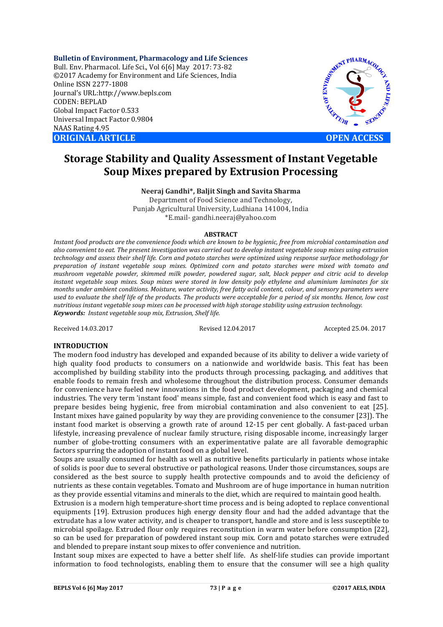**Bulletin of Environment, Pharmacology and Life Sciences** Bull. Env. Pharmacol. Life Sci., Vol 6[6] May 2017: 73-82 ©2017 Academy for Environment and Life Sciences, India Online ISSN 2277-1808 Journal's URL:http://www.bepls.com CODEN: BEPLAD Global Impact Factor 0.533 Universal Impact Factor 0.9804 NAAS Rating 4.95 **ORIGINAL ARTICLE OPEN ACCESS** 

MENT PHARMACO OF ENVIRO REATTOR

# **Storage Stability and Quality Assessment of Instant Vegetable Soup Mixes prepared by Extrusion Processing**

**Neeraj Gandhi\*, Baljit Singh and Savita Sharma**

Department of Food Science and Technology, Punjab Agricultural University, Ludhiana 141004, India \*E.mail- gandhi.neeraj@yahoo.com

#### **ABSTRACT**

*Instant food products are the convenience foods which are known to be hygienic, free from microbial contamination and also convenient to eat. The present investigation was carried out to develop instant vegetable soup mixes using extrusion technology and assess their shelf life. Corn and potato starches were optimized using response surface methodology for preparation of instant vegetable soup mixes. Optimized corn and potato starches were mixed with tomato and mushroom vegetable powder, skimmed milk powder, powdered sugar, salt, black pepper and citric acid to develop instant vegetable soup mixes. Soup mixes were stored in low density poly ethylene and aluminium laminates for six months under ambient conditions. Moisture, water activity, free fatty acid content, colour, and sensory parameters were used to evaluate the shelf life of the products. The products were acceptable for a period of six months. Hence, low cost nutritious instant vegetable soup mixes can be processed with high storage stability using extrusion technology. Keywords: Instant vegetable soup mix, Extrusion, Shelf life.* 

Received 14.03.2017 Revised 12.04.2017 Accepted 25.04. 2017

# **INTRODUCTION**

The modern food industry has developed and expanded because of its ability to deliver a wide variety of high quality food products to consumers on a nationwide and worldwide basis. This feat has been accomplished by building stability into the products through processing, packaging, and additives that enable foods to remain fresh and wholesome throughout the distribution process. Consumer demands for convenience have fueled new innovations in the food product development, packaging and chemical industries. The very term 'instant food' means simple, fast and convenient food which is easy and fast to prepare besides being hygienic, free from microbial contamination and also convenient to eat [25]. Instant mixes have gained popularity by way they are providing convenience to the consumer [23]). The instant food market is observing a growth rate of around 12-15 per cent globally. A fast-paced urban lifestyle, increasing prevalence of nuclear family structure, rising disposable income, increasingly larger number of globe-trotting consumers with an experimentative palate are all favorable demographic factors spurring the adoption of instant food on a global level.

Soups are usually consumed for health as well as nutritive benefits particularly in patients whose intake of solids is poor due to several obstructive or pathological reasons. Under those circumstances, soups are considered as the best source to supply health protective compounds and to avoid the deficiency of nutrients as these contain vegetables. Tomato and Mushroom are of huge importance in human nutrition as they provide essential vitamins and minerals to the diet, which are required to maintain good health.

Extrusion is a modern high temperature-short time process and is being adopted to replace conventional equipments [19]. Extrusion produces high energy density flour and had the added advantage that the extrudate has a low water activity, and is cheaper to transport, handle and store and is less susceptible to microbial spoilage. Extruded flour only requires reconstitution in warm water before consumption [22], so can be used for preparation of powdered instant soup mix. Corn and potato starches were extruded and blended to prepare instant soup mixes to offer convenience and nutrition.

Instant soup mixes are expected to have a better shelf life. As shelf-life studies can provide important information to food technologists, enabling them to ensure that the consumer will see a high quality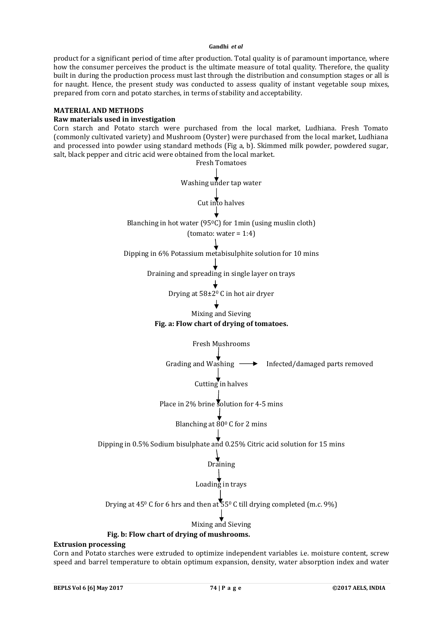product for a significant period of time after production. Total quality is of paramount importance, where how the consumer perceives the product is the ultimate measure of total quality. Therefore, the quality built in during the production process must last through the distribution and consumption stages or all is for naught. Hence, the present study was conducted to assess quality of instant vegetable soup mixes, prepared from corn and potato starches, in terms of stability and acceptability.

#### **MATERIAL AND METHODS**

#### **Raw materials used in investigation**

Corn starch and Potato starch were purchased from the local market, Ludhiana. Fresh Tomato (commonly cultivated variety) and Mushroom (Oyster) were purchased from the local market, Ludhiana and processed into powder using standard methods (Fig a, b). Skimmed milk powder, powdered sugar, salt, black pepper and citric acid were obtained from the local market.



Corn and Potato starches were extruded to optimize independent variables i.e. moisture content, screw speed and barrel temperature to obtain optimum expansion, density, water absorption index and water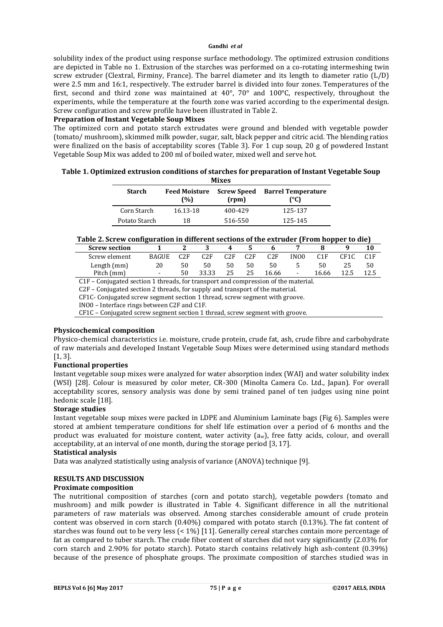solubility index of the product using response surface methodology. The optimized extrusion conditions are depicted in Table no 1. Extrusion of the starches was performed on a co-rotating intermeshing twin screw extruder (Clextral, Firminy, France). The barrel diameter and its length to diameter ratio (L/D) were 2.5 mm and 16:1, respectively. The extruder barrel is divided into four zones. Temperatures of the first, second and third zone was maintained at 40°, 70° and 100°C, respectively, throughout the experiments, while the temperature at the fourth zone was varied according to the experimental design. Screw configuration and screw profile have been illustrated in Table 2.

#### **Preparation of Instant Vegetable Soup Mixes**

The optimized corn and potato starch extrudates were ground and blended with vegetable powder (tomato/ mushroom), skimmed milk powder, sugar, salt, black pepper and citric acid. The blending ratios were finalized on the basis of acceptability scores (Table 3). For 1 cup soup, 20 g of powdered Instant Vegetable Soup Mix was added to 200 ml of boiled water, mixed well and serve hot.

# **Table 1. Optimized extrusion conditions of starches for preparation of Instant Vegetable Soup Mixes**

| <b>Starch</b> | <b>Feed Moisture</b><br>(%) | <b>Screw Speed</b><br>(rpm) | <b>Barrel Temperature</b><br>(°C) |
|---------------|-----------------------------|-----------------------------|-----------------------------------|
| Corn Starch   | 16.13-18                    | 400-429                     | 125-137                           |
| Potato Starch | 18                          | 516-550                     | 125-145                           |

# **Table 2. Screw configuration in different sections of the extruder (From hopper to die)**

| <b>Screw section</b> |                          |     | . .   |     |     |       |                          |       |      |    |
|----------------------|--------------------------|-----|-------|-----|-----|-------|--------------------------|-------|------|----|
| Screw element        | <b>BAGUE</b>             | C2F | C2F   | C2F | C2F | C2F   | IN <sub>00</sub>         |       | CF1C |    |
| Length (mm)          | 20                       |     | 50    | 50  | 50  |       |                          | 50    |      | 50 |
| Pitch (mm)           | $\overline{\phantom{0}}$ | 50  | 33.33 | 25  | 25  | 16.66 | $\overline{\phantom{a}}$ | 16.66 |      |    |

C1F – Conjugated section 1 threads, for transport and compression of the material.

C2F – Conjugated section 2 threads, for supply and transport of the material.

CF1C- Conjugated screw segment section 1 thread, screw segment with groove.

INO0 – Interface rings between C2F and C1F.

CF1C – Conjugated screw segment section 1 thread, screw segment with groove.

## **Physicochemical composition**

Physico-chemical characteristics i.e. moisture, crude protein, crude fat, ash, crude fibre and carbohydrate of raw materials and developed Instant Vegetable Soup Mixes were determined using standard methods [1, 3].

## **Functional properties**

Instant vegetable soup mixes were analyzed for water absorption index (WAI) and water solubility index (WSI) [28]. Colour is measured by color meter, CR-300 (Minolta Camera Co. Ltd., Japan). For overall acceptability scores, sensory analysis was done by semi trained panel of ten judges using nine point hedonic scale [18].

## **Storage studies**

Instant vegetable soup mixes were packed in LDPE and Aluminium Laminate bags (Fig 6). Samples were stored at ambient temperature conditions for shelf life estimation over a period of 6 months and the product was evaluated for moisture content, water activity (aw), free fatty acids, colour, and overall acceptability, at an interval of one month, during the storage period [3, 17].

#### **Statistical analysis**

Data was analyzed statistically using analysis of variance (ANOVA) technique [9].

## **RESULTS AND DISCUSSION**

## **Proximate composition**

The nutritional composition of starches (corn and potato starch), vegetable powders (tomato and mushroom) and milk powder is illustrated in Table 4. Significant difference in all the nutritional parameters of raw materials was observed. Among starches considerable amount of crude protein content was observed in corn starch (0.40%) compared with potato starch (0.13%). The fat content of starches was found out to be very less (< 1%) [11]. Generally cereal starches contain more percentage of fat as compared to tuber starch. The crude fiber content of starches did not vary significantly (2.03% for corn starch and 2.90% for potato starch). Potato starch contains relatively high ash-content (0.39%) because of the presence of phosphate groups. The proximate composition of starches studied was in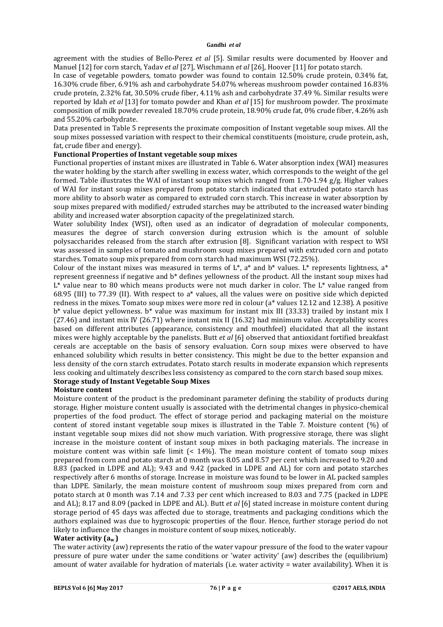agreement with the studies of Bello-Perez *et al* [5]. Similar results were documented by Hoover and Manuel [12] for corn starch, Yadav *et al* [27], Wischmann *et al* [26], Hoover [11] for potato starch.

In case of vegetable powders, tomato powder was found to contain 12.50% crude protein, 0.34% fat, 16.30% crude fiber, 6.91% ash and carbohydrate 54.07% whereas mushroom powder contained 16.83% crude protein, 2.32% fat, 30.50% crude fiber, 4.11% ash and carbohydrate 37.49 %. Similar results were reported by Idah *et al* [13] for tomato powder and Khan *et al* [15] for mushroom powder. The proximate composition of milk powder revealed 18.70% crude protein, 18.90% crude fat, 0% crude fiber, 4.26% ash and 55.20% carbohydrate.

Data presented in Table 5 represents the proximate composition of Instant vegetable soup mixes. All the soup mixes possessed variation with respect to their chemical constituents (moisture, crude protein, ash, fat, crude fiber and energy).

# **Functional Properties of Instant vegetable soup mixes**

Functional properties of instant mixes are illustrated in Table 6. Water absorption index (WAI) measures the water holding by the starch after swelling in excess water, which corresponds to the weight of the gel formed. Table illustrates the WAI of instant soup mixes which ranged from 1.70-1.94 g/g. Higher values of WAI for instant soup mixes prepared from potato starch indicated that extruded potato starch has more ability to absorb water as compared to extruded corn starch. This increase in water absorption by soup mixes prepared with modified/ extruded starches may be attributed to the increased water binding ability and increased water absorption capacity of the pregelatinized starch.

Water solubility Index (WSI), often used as an indicator of degradation of molecular components, measures the degree of starch conversion during extrusion which is the amount of soluble polysaccharides released from the starch after extrusion [8]. Significant variation with respect to WSI was assessed in samples of tomato and mushroom soup mixes prepared with extruded corn and potato starches. Tomato soup mix prepared from corn starch had maximum WSI (72.25%).

Colour of the instant mixes was measured in terms of  $L^*$ , a<sup>\*</sup> and  $b^*$  values. L<sup>\*</sup> represents lightness, a<sup>\*</sup> represent greenness if negative and b\* defines yellowness of the product. All the instant soup mixes had  $L^*$  value near to 80 which means products were not much darker in color. The  $L^*$  value ranged from 68.95 (III) to 77.39 (II). With respect to a\* values, all the values were on positive side which depicted redness in the mixes. Tomato soup mixes were more red in colour (a\* values 12.12 and 12.38). A positive b\* value depict yellowness. b\* value was maximum for instant mix III (33.33) trailed by instant mix I (27.46) and instant mix IV (26.71) where instant mix II (16.32) had minimum value. Acceptability scores based on different attributes (appearance, consistency and mouthfeel) elucidated that all the instant mixes were highly acceptable by the panelists. Butt *et al* [6] observed that antioxidant fortified breakfast cereals are acceptable on the basis of sensory evaluation. Corn soup mixes were observed to have enhanced solubility which results in better consistency. This might be due to the better expansion and less density of the corn starch extrudates. Potato starch results in moderate expansion which represents less cooking and ultimately describes less consistency as compared to the corn starch based soup mixes. **Storage study of Instant Vegetable Soup Mixes**

## **Moisture content**

Moisture content of the product is the predominant parameter defining the stability of products during storage. Higher moisture content usually is associated with the detrimental changes in physico-chemical properties of the food product. The effect of storage period and packaging material on the moisture content of stored instant vegetable soup mixes is illustrated in the Table 7. Moisture content (%) of instant vegetable soup mixes did not show much variation. With progressive storage, there was slight increase in the moisture content of instant soup mixes in both packaging materials. The increase in moisture content was within safe limit (< 14%). The mean moisture content of tomato soup mixes prepared from corn and potato starch at 0 month was 8.05 and 8.57 per cent which increased to 9.20 and 8.83 (packed in LDPE and AL); 9.43 and 9.42 (packed in LDPE and AL) for corn and potato starches respectively after 6 months of storage. Increase in moisture was found to be lower in AL packed samples than LDPE. Similarly, the mean moisture content of mushroom soup mixes prepared from corn and potato starch at 0 month was 7.14 and 7.33 per cent which increased to 8.03 and 7.75 (packed in LDPE and AL); 8.17 and 8.09 (packed in LDPE and AL). Butt *et al* [6] stated increase in moisture content during storage period of 45 days was affected due to storage, treatments and packaging conditions which the authors explained was due to hygroscopic properties of the flour. Hence, further storage period do not likely to influence the changes in moisture content of soup mixes, noticeably.

## **Water activity (aw )**

The water activity (aw) represents the ratio of the water vapour pressure of the food to the water vapour pressure of pure water under the same conditions or 'water activity' (aw) describes the (equilibrium) amount of water available for hydration of materials (i.e. water activity = water availability). When it is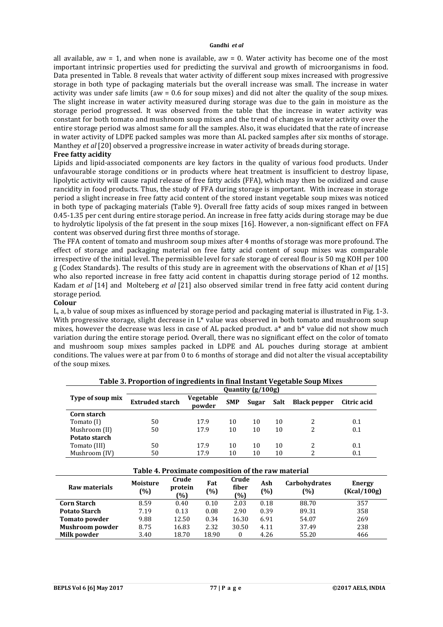all available, aw  $= 1$ , and when none is available, aw  $= 0$ . Water activity has become one of the most important intrinsic properties used for predicting the survival and growth of microorganisms in food. Data presented in Table. 8 reveals that water activity of different soup mixes increased with progressive storage in both type of packaging materials but the overall increase was small. The increase in water activity was under safe limits (aw = 0.6 for soup mixes) and did not alter the quality of the soup mixes. The slight increase in water activity measured during storage was due to the gain in moisture as the storage period progressed. It was observed from the table that the increase in water activity was constant for both tomato and mushroom soup mixes and the trend of changes in water activity over the entire storage period was almost same for all the samples. Also, it was elucidated that the rate of increase in water activity of LDPE packed samples was more than AL packed samples after six months of storage. Manthey *et al* [20] observed a progressive increase in water activity of breads during storage.

#### **Free fatty acidity**

Lipids and lipid-associated components are key factors in the quality of various food products. Under unfavourable storage conditions or in products where heat treatment is insufficient to destroy lipase, lipolytic activity will cause rapid release of free fatty acids (FFA), which may then be oxidized and cause rancidity in food products. Thus, the study of FFA during storage is important. With increase in storage period a slight increase in free fatty acid content of the stored instant vegetable soup mixes was noticed in both type of packaging materials (Table 9). Overall free fatty acids of soup mixes ranged in between 0.45-1.35 per cent during entire storage period. An increase in free fatty acids during storage may be due to hydrolytic lipolysis of the fat present in the soup mixes [16]. However, a non-significant effect on FFA content was observed during first three months of storage.

The FFA content of tomato and mushroom soup mixes after 4 months of storage was more profound. The effect of storage and packaging material on free fatty acid content of soup mixes was comparable irrespective of the initial level. The permissible level for safe storage of cereal flour is 50 mg KOH per 100 g (Codex Standards). The results of this study are in agreement with the observations of Khan *et al* [15] who also reported increase in free fatty acid content in chapattis during storage period of 12 months. Kadam *et al* [14] and Molteberg *et al* [21] also observed similar trend in free fatty acid content during storage period.

#### **Colour**

L, a, b value of soup mixes as influenced by storage period and packaging material is illustrated in Fig. 1-3. With progressive storage, slight decrease in L\* value was observed in both tomato and mushroom soup mixes, however the decrease was less in case of AL packed product. a\* and b\* value did not show much variation during the entire storage period. Overall, there was no significant effect on the color of tomato and mushroom soup mixes samples packed in LDPE and AL pouches during storage at ambient conditions. The values were at par from 0 to 6 months of storage and did not alter the visual acceptability of the soup mixes.

|                  | Quantity (g/100g)      |                     |            |       |      |                     |             |  |  |  |  |  |
|------------------|------------------------|---------------------|------------|-------|------|---------------------|-------------|--|--|--|--|--|
| Type of soup mix | <b>Extruded starch</b> | Vegetable<br>powder | <b>SMP</b> | Sugar | Salt | <b>Black pepper</b> | Citric acid |  |  |  |  |  |
| Corn starch      |                        |                     |            |       |      |                     |             |  |  |  |  |  |
| Tomato (I)       | 50                     | 17.9                | 10         | 10    | 10   |                     | 0.1         |  |  |  |  |  |
| Mushroom (II)    | 50                     | 17.9                | 10         | 10    | 10   | っ                   | 0.1         |  |  |  |  |  |
| Potato starch    |                        |                     |            |       |      |                     |             |  |  |  |  |  |
| Tomato (III)     | 50                     | 17.9                | 10         | 10    | 10   |                     | 0.1         |  |  |  |  |  |
| Mushroom (IV)    | 50                     | 17.9                | 10         | 10    | 10   |                     | 0.1         |  |  |  |  |  |

**Table 3. Proportion of ingredients in final Instant Vegetable Soup Mixes**

| Table 4. Proximate composition of the raw material |                        |                         |            |                       |               |                             |                       |  |  |  |  |  |
|----------------------------------------------------|------------------------|-------------------------|------------|-----------------------|---------------|-----------------------------|-----------------------|--|--|--|--|--|
| Raw materials                                      | <b>Moisture</b><br>(%) | Crude<br>protein<br>~%) | Fat<br>(%) | Crude<br>fiber<br>(%) | Ash<br>$(\%)$ | <b>Carbohydrates</b><br>(%) | Energy<br>(Kcal/100g) |  |  |  |  |  |
| <b>Corn Starch</b>                                 | 8.59                   | 0.40                    | 0.10       | 2.03                  | 0.18          | 88.70                       | 357                   |  |  |  |  |  |
| <b>Potato Starch</b>                               | 7.19                   | 0.13                    | 0.08       | 2.90                  | 0.39          | 89.31                       | 358                   |  |  |  |  |  |
| <b>Tomato powder</b>                               | 9.88                   | 12.50                   | 0.34       | 16.30                 | 6.91          | 54.07                       | 269                   |  |  |  |  |  |
| <b>Mushroom powder</b>                             | 8.75                   | 16.83                   | 2.32       | 30.50                 | 4.11          | 37.49                       | 238                   |  |  |  |  |  |
| Milk powder                                        | 3.40                   | 18.70                   | 18.90      | $\Omega$              | 4.26          | 55.20                       | 466                   |  |  |  |  |  |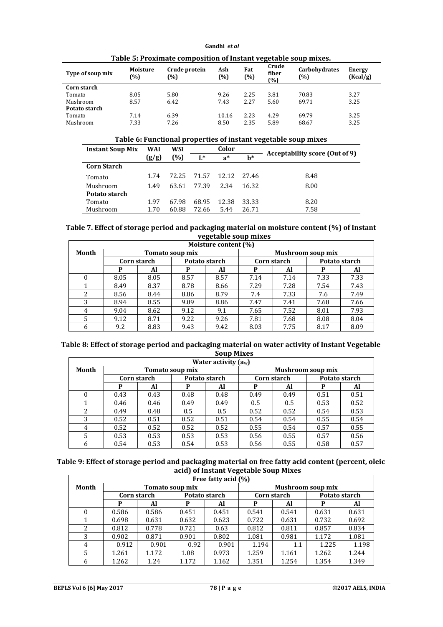| Type of soup mix | Moisture<br>(%) | Crude protein<br>(%) | Ash<br>(%) | Fat<br>(%) | Crude<br>fiber<br>(%) | <b>Carbohydrates</b><br>(%) | <b>Energy</b><br>(Kcal/g) |
|------------------|-----------------|----------------------|------------|------------|-----------------------|-----------------------------|---------------------------|
| Corn starch      |                 |                      |            |            |                       |                             |                           |
| Tomato           | 8.05            | 5.80                 | 9.26       | 2.25       | 3.81                  | 70.83                       | 3.27                      |
| Mushroom         | 8.57            | 6.42                 | 7.43       | 2.27       | 5.60                  | 69.71                       | 3.25                      |
| Potato starch    |                 |                      |            |            |                       |                             |                           |
| Tomato           | 7.14            | 6.39                 | 10.16      | 2.23       | 4.29                  | 69.79                       | 3.25                      |
| Mushroom         | 7.33            | 7.26                 | 8.50       | 2.35       | 5.89                  | 68.67                       | 3.25                      |

**Table 5: Proximate composition of Instant vegetable soup mixes.**

**Table 6: Functional properties of instant vegetable soup mixes**

| <b>Instant Soup Mix</b> | WAI   | WSI   | Color |       |       | Acceptability score (Out of 9) |
|-------------------------|-------|-------|-------|-------|-------|--------------------------------|
|                         | (g/g) | (%)   | $L^*$ | $a^*$ | $h^*$ |                                |
| <b>Corn Starch</b>      |       |       |       |       |       |                                |
| Tomato                  | 1.74  | 72.25 | 71.57 | 12.12 | 2746  | 8.48                           |
| Mushroom                | 1.49  | 63.61 | 77.39 | 2.34  | 16.32 | 8.00                           |
| Potato starch           |       |       |       |       |       |                                |
| Tomato                  | 1.97  | 67.98 | 68.95 | 12.38 | 33.33 | 8.20                           |
| Mushroom                | 1.70  | 60.88 | 72.66 | 5.44  | 26.71 | 7.58                           |

## **Table 7. Effect of storage period and packaging material on moisture content (%) of Instant vegetable soup mixes**

|          | Moisture content (%) |             |                 |               |                          |             |      |               |  |  |  |  |  |  |
|----------|----------------------|-------------|-----------------|---------------|--------------------------|-------------|------|---------------|--|--|--|--|--|--|
| Month    |                      |             | Tomato soup mix |               | <b>Mushroom soup mix</b> |             |      |               |  |  |  |  |  |  |
|          |                      | Corn starch |                 | Potato starch |                          | Corn starch |      | Potato starch |  |  |  |  |  |  |
|          | P                    | Al          | P               | Al            | P                        | Al          | P    | Al            |  |  |  |  |  |  |
| $\theta$ | 8.05                 | 8.05        | 8.57            | 8.57          | 7.14                     | 7.14        | 7.33 | 7.33          |  |  |  |  |  |  |
|          | 8.49                 | 8.37        | 8.78            | 8.66          | 7.29                     | 7.28        | 7.54 | 7.43          |  |  |  |  |  |  |
| 2        | 8.56                 | 8.44        | 8.86            | 8.79          | 7.4                      | 7.33        | 7.6  | 7.49          |  |  |  |  |  |  |
| 3        | 8.94                 | 8.55        | 9.09            | 8.86          | 7.47                     | 7.41        | 7.68 | 7.66          |  |  |  |  |  |  |
| 4        | 9.04                 | 8.62        | 9.12            | 9.1           | 7.65                     | 7.52        | 8.01 | 7.93          |  |  |  |  |  |  |
| 5        | 9.12                 | 8.71        | 9.22            | 9.26          | 7.81                     | 7.68        | 8.08 | 8.04          |  |  |  |  |  |  |
| 6        | 9.2                  | 8.83        | 9.43            | 9.42          | 8.03                     | 7.75        | 8.17 | 8.09          |  |  |  |  |  |  |

## **Table 8: Effect of storage period and packaging material on water activity of Instant Vegetable Soup Mixes**

|        | Water activity $(a_w)$ |             |                 |               |      |             |                          |               |  |  |  |  |  |
|--------|------------------------|-------------|-----------------|---------------|------|-------------|--------------------------|---------------|--|--|--|--|--|
| Month  |                        |             | Tomato soup mix |               |      |             | <b>Mushroom soup mix</b> |               |  |  |  |  |  |
|        |                        | Corn starch |                 | Potato starch |      | Corn starch |                          | Potato starch |  |  |  |  |  |
|        | P                      | Al          | Р               | Al            | P    | Al          | P                        | Al            |  |  |  |  |  |
| $^{0}$ | 0.43                   | 0.43        | 0.48            | 0.48          | 0.49 | 0.49        | 0.51                     | 0.51          |  |  |  |  |  |
|        | 0.46                   | 0.46        | 0.49            | 0.49          | 0.5  | 0.5         | 0.53                     | 0.52          |  |  |  |  |  |
| 2      | 0.49                   | 0.48        | 0.5             | 0.5           | 0.52 | 0.52        | 0.54                     | 0.53          |  |  |  |  |  |
| 3      | 0.52                   | 0.51        | 0.52            | 0.51          | 0.54 | 0.54        | 0.55                     | 0.54          |  |  |  |  |  |
| 4      | 0.52                   | 0.52        | 0.52            | 0.52          | 0.55 | 0.54        | 0.57                     | 0.55          |  |  |  |  |  |
| 5      | 0.53                   | 0.53        | 0.53            | 0.53          | 0.56 | 0.55        | 0.57                     | 0.56          |  |  |  |  |  |
| 6      | 0.54                   | 0.53        | 0.54            | 0.53          | 0.56 | 0.55        | 0.58                     | 0.57          |  |  |  |  |  |

# **Table 9: Effect of storage period and packaging material on free fatty acid content (percent, oleic acid) of Instant Vegetable Soup Mixes**

|          | Free fatty acid (%) |             |                 |               |                          |             |       |               |  |  |  |  |  |  |
|----------|---------------------|-------------|-----------------|---------------|--------------------------|-------------|-------|---------------|--|--|--|--|--|--|
| Month    |                     |             | Tomato soup mix |               | <b>Mushroom soup mix</b> |             |       |               |  |  |  |  |  |  |
|          |                     | Corn starch |                 | Potato starch |                          | Corn starch |       | Potato starch |  |  |  |  |  |  |
|          | P                   | Al          | P               | Al            | P                        | Al          | P     | Al            |  |  |  |  |  |  |
| $\Omega$ | 0.586               | 0.586       | 0.451           | 0.451         | 0.541                    | 0.541       | 0.631 | 0.631         |  |  |  |  |  |  |
|          | 0.698               | 0.631       | 0.632           | 0.623         | 0.722                    | 0.631       | 0.732 | 0.692         |  |  |  |  |  |  |
| 2        | 0.812               | 0.778       | 0.721           | 0.63          | 0.812                    | 0.811       | 0.857 | 0.834         |  |  |  |  |  |  |
| 3        | 0.902               | 0.871       | 0.901           | 0.802         | 1.081                    | 0.981       | 1.172 | 1.081         |  |  |  |  |  |  |
| 4        | 0.912               | 0.901       | 0.92            | 0.901         | 1.194                    | 1.1         | 1.225 | 1.198         |  |  |  |  |  |  |
| 5        | 1.261               | 1.172       | 1.08            | 0.973         | 1.259                    | 1.161       | 1.262 | 1.244         |  |  |  |  |  |  |
| 6        | 1.262               | 1.24        | 1.172           | 1.162         | 1.351                    | 1.254       | 1.354 | 1.349         |  |  |  |  |  |  |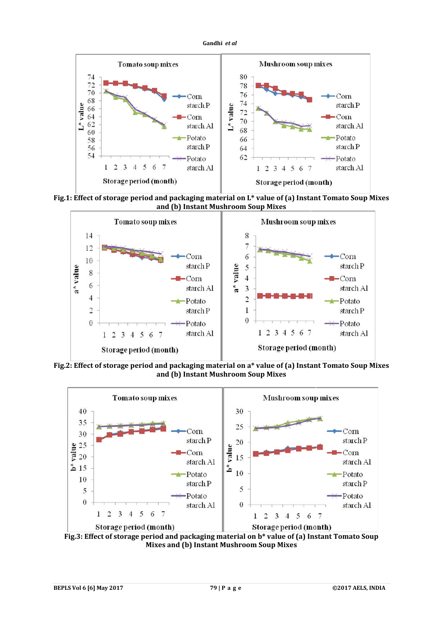



**Fig.1: Effect of storage period and packaging material on L\* value of (a) Instant Tomato Soup Mixes and (b) Instant Mushroom Soup Mixes**



**Fig.2: Effect of storage period and packaging material on a\* value of (a) Instant Tomato Soup Mixes and (b) Instant Mushroom Soup Mixes**



**Fig.3: Effect of storage period and packaging material on b\* value of (a) Instant Tomato Soup Mixes and (b) Instant Mushroom Soup Mixes**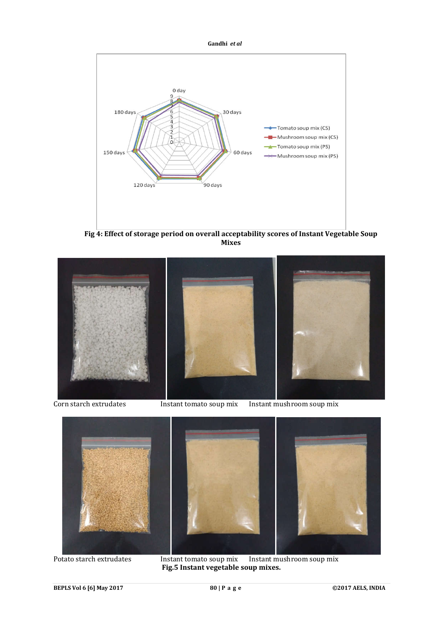



**Fig 4: Effect of storage period on overall acceptability scores of Instant Vegetable Soup Mixes** 







Potato starch extrudates Instant tomato soup mix Instant mushroom soup mix **Fig.5 Instant vegetable soup mixes.**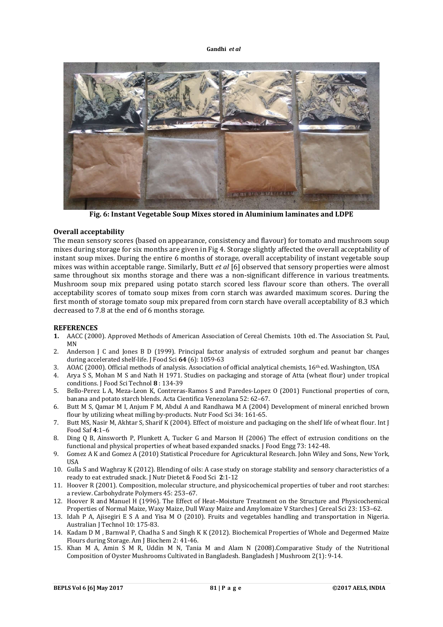

**Fig. 6: Instant Vegetable Soup Mixes stored in Aluminium laminates and LDPE**

# **Overall acceptability**

The mean sensory scores (based on appearance, consistency and flavour) for tomato and mushroom soup mixes during storage for six months are given in Fig 4. Storage slightly affected the overall acceptability of instant soup mixes. During the entire 6 months of storage, overall acceptability of instant vegetable soup mixes was within acceptable range. Similarly, Butt *et al* [6] observed that sensory properties were almost same throughout six months storage and there was a non-significant difference in various treatments. Mushroom soup mix prepared using potato starch scored less flavour score than others. The overall acceptability scores of tomato soup mixes from corn starch was awarded maximum scores. During the first month of storage tomato soup mix prepared from corn starch have overall acceptability of 8.3 which decreased to 7.8 at the end of 6 months storage.

## **REFERENCES**

- **1.** AACC (2000). Approved Methods of American Association of Cereal Chemists. 10th ed. The Association St. Paul, MN
- 2. Anderson J C and Jones B D (1999). Principal factor analysis of extruded sorghum and peanut bar changes during accelerated shelf-life. J Food Sci **64** (6): 1059-63
- 3. AOAC (2000). Official methods of analysis. Association of official analytical chemists, 16th ed. Washington, USA
- 4. Arya S S, Mohan M S and Nath H 1971. Studies on packaging and storage of Atta (wheat flour) under tropical conditions. J Food Sci Technol **8** : 134-39
- 5. Bello-Perez L A, Meza-Leon K, Contreras-Ramos S and Paredes-Lopez O (2001) Functional properties of corn, banana and potato starch blends. Acta Cientifica Venezolana 52: 62–67.
- 6. Butt M S, Qamar M I, Anjum F M, Abdul A and Randhawa M A (2004) Development of mineral enriched brown flour by utilizing wheat milling by-products. Nutr Food Sci 34: 161-65.
- 7. Butt MS, Nasir M, Akhtar S, Sharif K (2004). Effect of moisture and packaging on the shelf life of wheat flour. Int J Food Saf **4**:1–6
- 8. Ding Q B, Ainsworth P, Plunkett A, Tucker G and Marson H (2006) The effect of extrusion conditions on the functional and physical properties of wheat based expanded snacks. J Food Engg 73: 142-48.
- 9. Gomez A K and Gomez A (2010) Statistical Procedure for Agricuktural Research. John Wiley and Sons, New York, USA
- 10. Gulla S and Waghray K (2012). Blending of oils: A case study on storage stability and sensory characteristics of a ready to eat extruded snack. J Nutr Dietet & Food Sci **2**:1-12
- 11. Hoover R (2001). Composition, molecular structure, and physicochemical properties of tuber and root starches: a review. Carbohydrate Polymers 45: 253–67.
- 12. Hoover R and Manuel H (1996). The Effect of Heat–Moisture Treatment on the Structure and Physicochemical Properties of Normal Maize, Waxy Maize, Dull Waxy Maize and Amylomaize V Starches J Cereal Sci 23: 153–62.
- 13. Idah P A, Ajisegiri E S A and Yisa M O (2010). Fruits and vegetables handling and transportation in Nigeria. Australian J Technol 10: 175-83.
- 14. Kadam D M , Barnwal P, Chadha S and Singh K K (2012). Biochemical Properties of Whole and Degermed Maize Flours during Storage. Am J Biochem 2: 41-46.
- 15. Khan M A, Amin S M R, Uddin M N, Tania M and Alam N (2008).Comparative Study of the Nutritional Composition of Oyster Mushrooms Cultivated in Bangladesh. Bangladesh J Mushroom 2(1): 9-14.